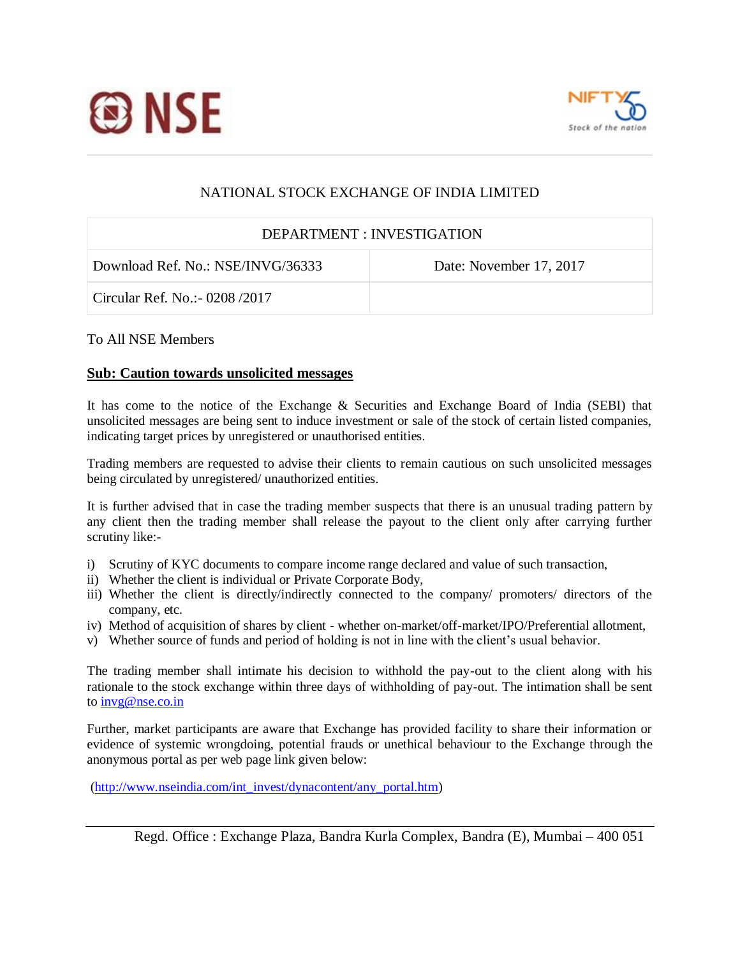



## NATIONAL STOCK EXCHANGE OF INDIA LIMITED

## DEPARTMENT : INVESTIGATION

Download Ref. No.: NSE/INVG/36333 Date: November 17, 2017

Circular Ref. No.:- 0208 /2017

## To All NSE Members

## **Sub: Caution towards unsolicited messages**

It has come to the notice of the Exchange & Securities and Exchange Board of India (SEBI) that unsolicited messages are being sent to induce investment or sale of the stock of certain listed companies, indicating target prices by unregistered or unauthorised entities.

Trading members are requested to advise their clients to remain cautious on such unsolicited messages being circulated by unregistered/ unauthorized entities.

It is further advised that in case the trading member suspects that there is an unusual trading pattern by any client then the trading member shall release the payout to the client only after carrying further scrutiny like:-

- i) Scrutiny of KYC documents to compare income range declared and value of such transaction,
- ii) Whether the client is individual or Private Corporate Body,
- iii) Whether the client is directly/indirectly connected to the company/ promoters/ directors of the company, etc.
- iv) Method of acquisition of shares by client whether on-market/off-market/IPO/Preferential allotment,
- v) Whether source of funds and period of holding is not in line with the client's usual behavior.

The trading member shall intimate his decision to withhold the pay-out to the client along with his rationale to the stock exchange within three days of withholding of pay-out. The intimation shall be sent to [invg@nse.co.in](mailto:invg@nse.co.in)

Further, market participants are aware that Exchange has provided facility to share their information or evidence of systemic wrongdoing, potential frauds or unethical behaviour to the Exchange through the anonymous portal as per web page link given below:

[\(http://www.nseindia.com/int\\_invest/dynacontent/any\\_portal.htm\)](http://www.nseindia.com/int_invest/dynacontent/any_portal.htm)

Regd. Office : Exchange Plaza, Bandra Kurla Complex, Bandra (E), Mumbai – 400 051